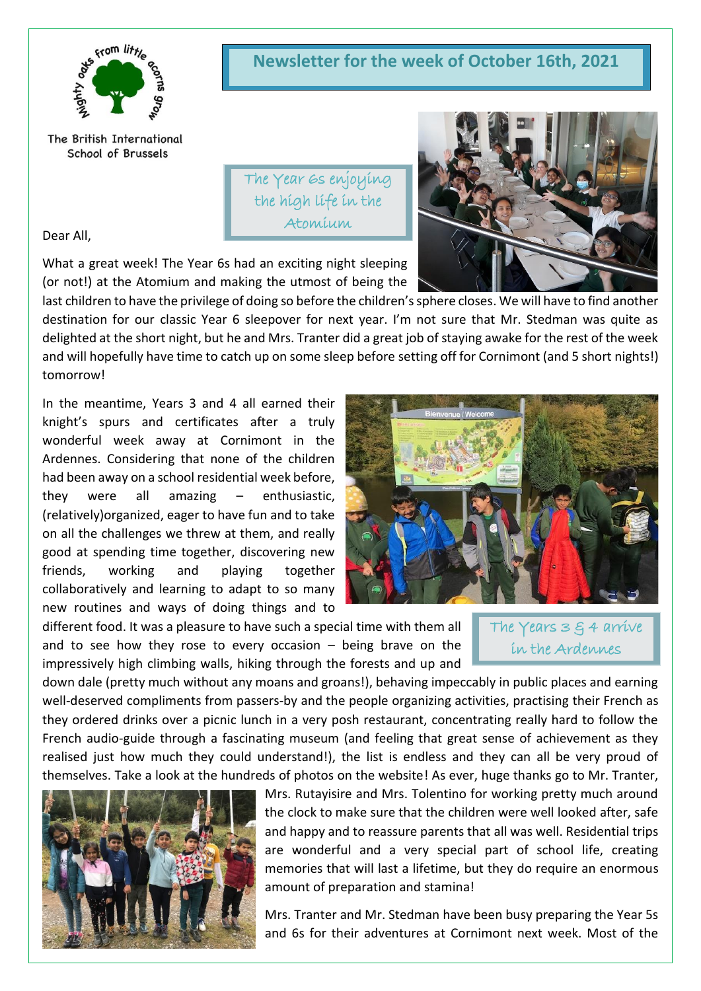

The British International School of Brussels

**Newsletter for the week of October 16th, 2021**

The Year 6s enjoying the high life in the Atomium

Dear All,

What a great week! The Year 6s had an exciting night sleeping (or not!) at the Atomium and making the utmost of being the

last children to have the privilege of doing so before the children's sphere closes. We will have to find another destination for our classic Year 6 sleepover for next year. I'm not sure that Mr. Stedman was quite as delighted at the short night, but he and Mrs. Tranter did a great job of staying awake for the rest of the week and will hopefully have time to catch up on some sleep before setting off for Cornimont (and 5 short nights!) tomorrow!

In the meantime, Years 3 and 4 all earned their knight's spurs and certificates after a truly wonderful week away at Cornimont in the Ardennes. Considering that none of the children had been away on a school residential week before, they were all amazing – enthusiastic, (relatively)organized, eager to have fun and to take on all the challenges we threw at them, and really good at spending time together, discovering new friends, working and playing together collaboratively and learning to adapt to so many new routines and ways of doing things and to



different food. It was a pleasure to have such a special time with them all and to see how they rose to every occasion  $-$  being brave on the impressively high climbing walls, hiking through the forests and up and

The Years 3 g 4 arrive in the Ardennes

down dale (pretty much without any moans and groans!), behaving impeccably in public places and earning well-deserved compliments from passers-by and the people organizing activities, practising their French as they ordered drinks over a picnic lunch in a very posh restaurant, concentrating really hard to follow the French audio-guide through a fascinating museum (and feeling that great sense of achievement as they realised just how much they could understand!), the list is endless and they can all be very proud of themselves. Take a look at the hundreds of photos on the website! As ever, huge thanks go to Mr. Tranter,



Mrs. Rutayisire and Mrs. Tolentino for working pretty much around the clock to make sure that the children were well looked after, safe and happy and to reassure parents that all was well. Residential trips are wonderful and a very special part of school life, creating memories that will last a lifetime, but they do require an enormous amount of preparation and stamina!

Mrs. Tranter and Mr. Stedman have been busy preparing the Year 5s and 6s for their adventures at Cornimont next week. Most of the

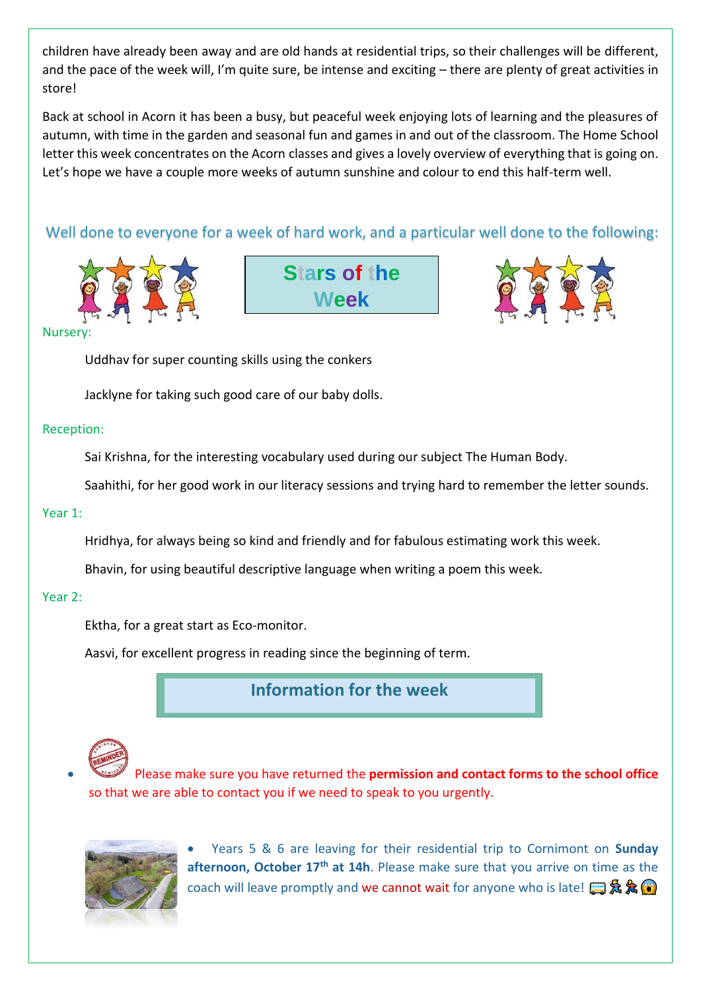children have already been away and are old hands at residential trips, so their challenges will be different, and the pace of the week will, I'm quite sure, be intense and exciting – there are plenty of great activities in store!

Back at school in Acorn it has been a busy, but peaceful week enjoying lots of learning and the pleasures of autumn, with time in the garden and seasonal fun and games in and out of the classroom. The Home School letter this week concentrates on the Acorn classes and gives a lovely overview of everything that is going on. Let's hope we have a couple more weeks of autumn sunshine and colour to end this half-term well.

# Well done to everyone for a week of hard work, and a particular well done to the following:







#### **Nursery**

Uddhav for super counting skills using the conkers

Jacklyne for taking such good care of our baby dolls.

#### Reception:

Sai Krishna, for the interesting vocabulary used during our subject The Human Body.

Saahithi, for her good work in our literacy sessions and trying hard to remember the letter sounds.

## Year 1:

Hridhya, for always being so kind and friendly and for fabulous estimating work this week.

Bhavin, for using beautiful descriptive language when writing a poem this week.

## Year 2:

Ektha, for a great start as Eco-monitor.

Aasvi, for excellent progress in reading since the beginning of term.

**Information for the week** 



• Please make sure you have returned the **permission and contact forms to the school office** so that we are able to contact you if we need to speak to you urgently.



• Years 5 & 6 are leaving for their residential trip to Cornimont on **Sunday**  afternoon, October 17<sup>th</sup> at 14h. Please make sure that you arrive on time as the coach will leave promptly and we cannot wait for anyone who is late!  $\mathbb{R} \mathbf{\&} \mathbf{\&} \mathbf{\&}$